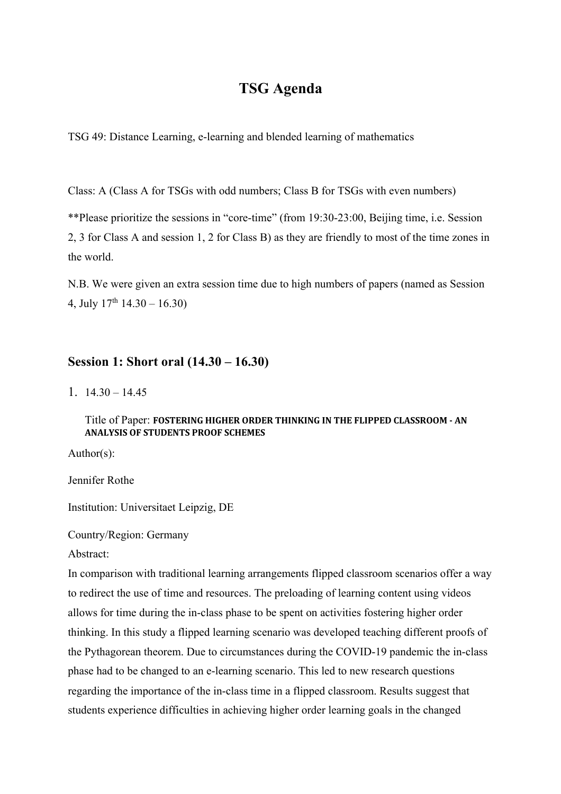# **TSG Agenda**

TSG 49: Distance Learning, e-learning and blended learning of mathematics

Class: A (Class A for TSGs with odd numbers; Class B for TSGs with even numbers)

\*\*Please prioritize the sessions in "core-time" (from 19:30-23:00, Beijing time, i.e. Session 2, 3 for Class A and session 1, 2 for Class B) as they are friendly to most of the time zones in the world.

N.B. We were given an extra session time due to high numbers of papers (named as Session 4, July  $17<sup>th</sup> 14.30 - 16.30$ 

## **Session 1: Short oral (14.30 – 16.30)**

1.  $14.30 - 14.45$ 

## Title of Paper: FOSTERING HIGHER ORDER THINKING IN THE FLIPPED CLASSROOM - AN **ANALYSIS OF STUDENTS PROOF SCHEMES**

Author(s):

Jennifer Rothe

Institution: Universitaet Leipzig, DE

Country/Region: Germany

Abstract:

In comparison with traditional learning arrangements flipped classroom scenarios offer a way to redirect the use of time and resources. The preloading of learning content using videos allows for time during the in-class phase to be spent on activities fostering higher order thinking. In this study a flipped learning scenario was developed teaching different proofs of the Pythagorean theorem. Due to circumstances during the COVID-19 pandemic the in-class phase had to be changed to an e-learning scenario. This led to new research questions regarding the importance of the in-class time in a flipped classroom. Results suggest that students experience difficulties in achieving higher order learning goals in the changed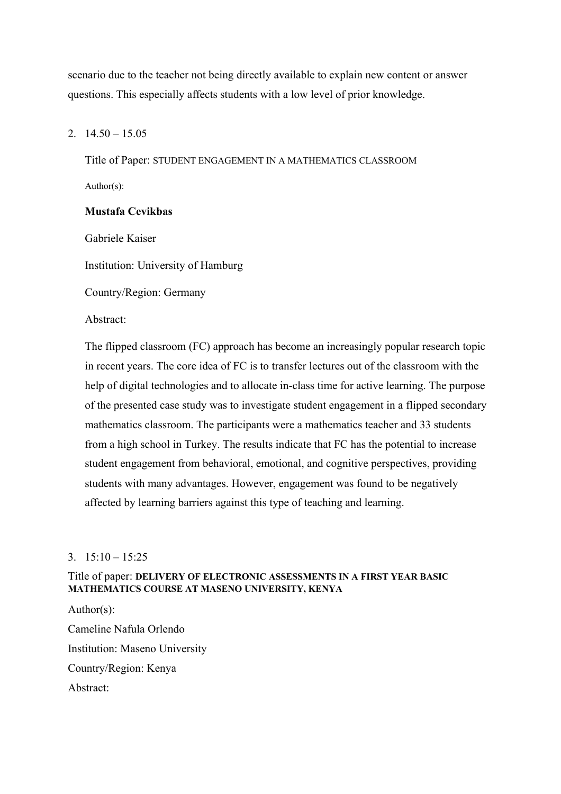scenario due to the teacher not being directly available to explain new content or answer questions. This especially affects students with a low level of prior knowledge.

## 2.  $14.50 - 15.05$

Title of Paper: STUDENT ENGAGEMENT IN A MATHEMATICS CLASSROOM Author(s):

## **Mustafa Cevikbas**

Gabriele Kaiser

Institution: University of Hamburg

Country/Region: Germany

Abstract:

The flipped classroom (FC) approach has become an increasingly popular research topic in recent years. The core idea of FC is to transfer lectures out of the classroom with the help of digital technologies and to allocate in-class time for active learning. The purpose of the presented case study was to investigate student engagement in a flipped secondary mathematics classroom. The participants were a mathematics teacher and 33 students from a high school in Turkey. The results indicate that FC has the potential to increase student engagement from behavioral, emotional, and cognitive perspectives, providing students with many advantages. However, engagement was found to be negatively affected by learning barriers against this type of teaching and learning.

## 3.  $15:10 - 15:25$

## Title of paper: **DELIVERY OF ELECTRONIC ASSESSMENTS IN A FIRST YEAR BASIC MATHEMATICS COURSE AT MASENO UNIVERSITY, KENYA**

Author(s): Cameline Nafula Orlendo Institution: Maseno University Country/Region: Kenya Abstract: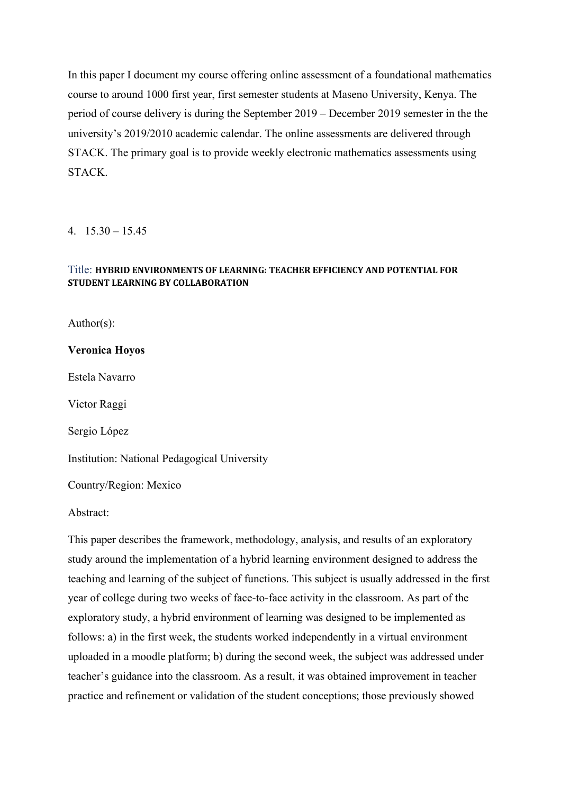In this paper I document my course offering online assessment of a foundational mathematics course to around 1000 first year, first semester students at Maseno University, Kenya. The period of course delivery is during the September 2019 – December 2019 semester in the the university's 2019/2010 academic calendar. The online assessments are delivered through STACK. The primary goal is to provide weekly electronic mathematics assessments using STACK.

4.  $15.30 - 15.45$ 

## Title: **HYBRID ENVIRONMENTS OF LEARNING: TEACHER EFFICIENCY AND POTENTIAL FOR STUDENT LEARNING BY COLLABORATION**

Author(s):

**Veronica Hoyos** 

Estela Navarro

Victor Raggi

Sergio López

Institution: National Pedagogical University

Country/Region: Mexico

Abstract:

This paper describes the framework, methodology, analysis, and results of an exploratory study around the implementation of a hybrid learning environment designed to address the teaching and learning of the subject of functions. This subject is usually addressed in the first year of college during two weeks of face-to-face activity in the classroom. As part of the exploratory study, a hybrid environment of learning was designed to be implemented as follows: a) in the first week, the students worked independently in a virtual environment uploaded in a moodle platform; b) during the second week, the subject was addressed under teacher's guidance into the classroom. As a result, it was obtained improvement in teacher practice and refinement or validation of the student conceptions; those previously showed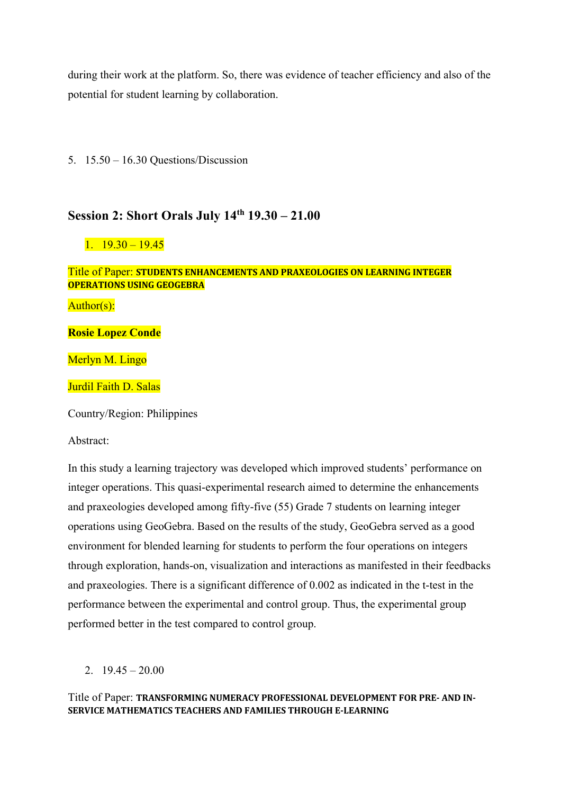during their work at the platform. So, there was evidence of teacher efficiency and also of the potential for student learning by collaboration.

5. 15.50 – 16.30 Questions/Discussion

# **Session 2: Short Orals July 14th 19.30 – 21.00**

## $1. \quad 19.30 - 19.45$

#### **Title of Paper: STUDENTS ENHANCEMENTS AND PRAXEOLOGIES ON LEARNING INTEGER OPERATIONS USING GEOGEBRA**

Author(s):

**Rosie Lopez Conde**

Merlyn M. Lingo

Jurdil Faith D. Salas

Country/Region: Philippines

Abstract:

In this study a learning trajectory was developed which improved students' performance on integer operations. This quasi-experimental research aimed to determine the enhancements and praxeologies developed among fifty-five (55) Grade 7 students on learning integer operations using GeoGebra. Based on the results of the study, GeoGebra served as a good environment for blended learning for students to perform the four operations on integers through exploration, hands-on, visualization and interactions as manifested in their feedbacks and praxeologies. There is a significant difference of 0.002 as indicated in the t-test in the performance between the experimental and control group. Thus, the experimental group performed better in the test compared to control group.

2.  $19.45 - 20.00$ 

## Title of Paper: TRANSFORMING NUMERACY PROFESSIONAL DEVELOPMENT FOR PRE-AND IN-**SERVICE MATHEMATICS TEACHERS AND FAMILIES THROUGH E-LEARNING**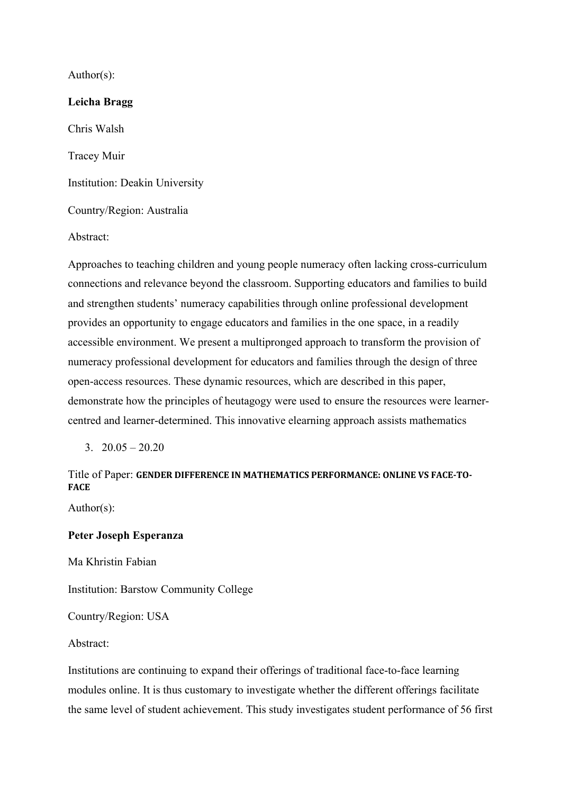Author(s):

Abstract:

## **Leicha Bragg**

Chris Walsh Tracey Muir Institution: Deakin University Country/Region: Australia

Approaches to teaching children and young people numeracy often lacking cross-curriculum connections and relevance beyond the classroom. Supporting educators and families to build and strengthen students' numeracy capabilities through online professional development provides an opportunity to engage educators and families in the one space, in a readily accessible environment. We present a multipronged approach to transform the provision of numeracy professional development for educators and families through the design of three open-access resources. These dynamic resources, which are described in this paper, demonstrate how the principles of heutagogy were used to ensure the resources were learnercentred and learner-determined. This innovative elearning approach assists mathematics

 $3. \quad 20.05 - 20.20$ 

# Title of Paper: GENDER DIFFERENCE IN MATHEMATICS PERFORMANCE: ONLINE VS FACE-TO-**FACE**

Author(s):

### **Peter Joseph Esperanza**

Ma Khristin Fabian

Institution: Barstow Community College

Country/Region: USA

Abstract:

Institutions are continuing to expand their offerings of traditional face-to-face learning modules online. It is thus customary to investigate whether the different offerings facilitate the same level of student achievement. This study investigates student performance of 56 first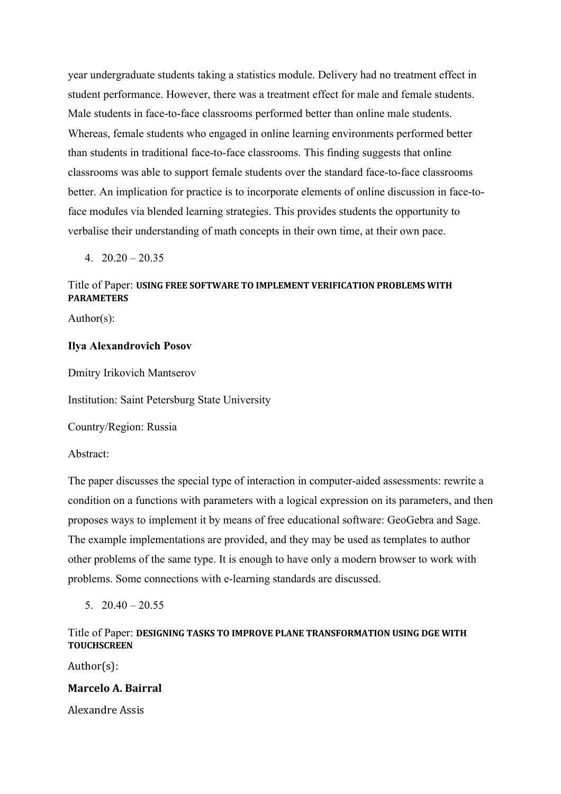year undergraduate students taking a statistics module. Delivery had no treatment effect in student performance. However, there was a treatment effect for male and female students. Male students in face-to-face classrooms performed better than online male students. Whereas, female students who engaged in online learning environments performed better than students in traditional face-to-face classrooms. This finding suggests that online classrooms was able to support female students over the standard face-to-face classrooms better. An implication for practice is to incorporate elements of online discussion in face-toface modules via blended learning strategies. This provides students the opportunity to verbalise their understanding of math concepts in their own time, at their own pace.

 $4. \quad 20.20 - 20.35$ 

## Title of Paper: **USING FREE SOFTWARE TO IMPLEMENT VERIFICATION PROBLEMS WITH PARAMETERS**

Author(s):

## **Ilya Alexandrovich Posov**

Dmitry Irikovich Mantserov

Institution: Saint Petersburg State University

Country/Region: Russia

Abstract:

The paper discusses the special type of interaction in computer-aided assessments: rewrite a condition on a functions with parameters with a logical expression on its parameters, and then proposes ways to implement it by means of free educational software: GeoGebra and Sage. The example implementations are provided, and they may be used as templates to author other problems of the same type. It is enough to have only a modern browser to work with problems. Some connections with e-learning standards are discussed.

5.  $20.40 - 20.55$ 

## Title of Paper: DESIGNING TASKS TO IMPROVE PLANE TRANSFORMATION USING DGE WITH **TOUCHSCREEN**

Author(s): 

## **Marcelo A. Bairral**

Alexandre Assis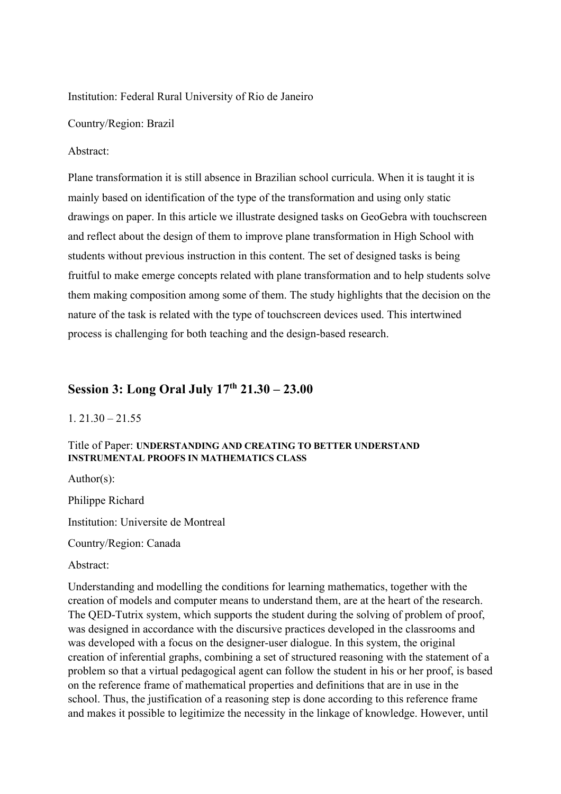Institution: Federal Rural University of Rio de Janeiro

Country/Region: Brazil

#### Abstract:

Plane transformation it is still absence in Brazilian school curricula. When it is taught it is mainly based on identification of the type of the transformation and using only static drawings on paper. In this article we illustrate designed tasks on GeoGebra with touchscreen and reflect about the design of them to improve plane transformation in High School with students without previous instruction in this content. The set of designed tasks is being fruitful to make emerge concepts related with plane transformation and to help students solve them making composition among some of them. The study highlights that the decision on the nature of the task is related with the type of touchscreen devices used. This intertwined process is challenging for both teaching and the design-based research.

# **Session 3: Long Oral July 17th 21.30 – 23.00**

#### $1.21.30 - 21.55$

## Title of Paper: **UNDERSTANDING AND CREATING TO BETTER UNDERSTAND INSTRUMENTAL PROOFS IN MATHEMATICS CLASS**

Author(s):

Philippe Richard

Institution: Universite de Montreal

Country/Region: Canada

Abstract:

Understanding and modelling the conditions for learning mathematics, together with the creation of models and computer means to understand them, are at the heart of the research. The QED-Tutrix system, which supports the student during the solving of problem of proof, was designed in accordance with the discursive practices developed in the classrooms and was developed with a focus on the designer-user dialogue. In this system, the original creation of inferential graphs, combining a set of structured reasoning with the statement of a problem so that a virtual pedagogical agent can follow the student in his or her proof, is based on the reference frame of mathematical properties and definitions that are in use in the school. Thus, the justification of a reasoning step is done according to this reference frame and makes it possible to legitimize the necessity in the linkage of knowledge. However, until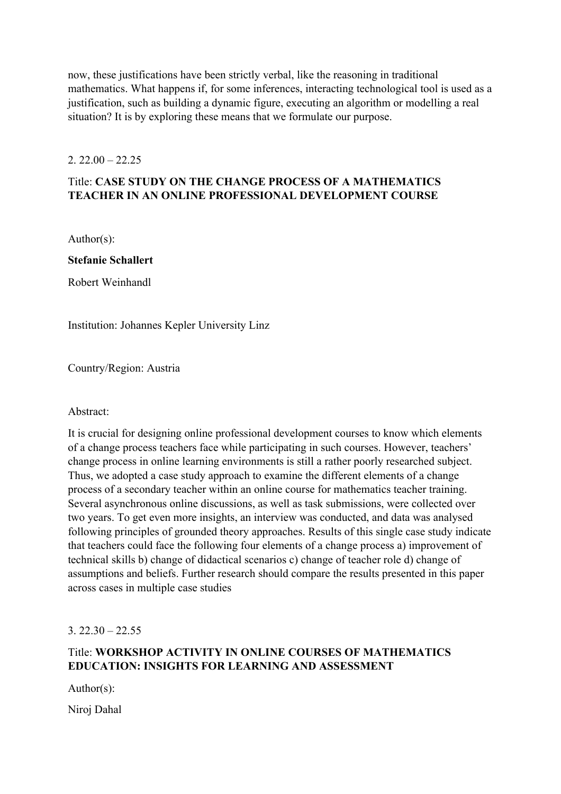now, these justifications have been strictly verbal, like the reasoning in traditional mathematics. What happens if, for some inferences, interacting technological tool is used as a justification, such as building a dynamic figure, executing an algorithm or modelling a real situation? It is by exploring these means that we formulate our purpose.

## $2.22.00 - 22.25$

# Title: **CASE STUDY ON THE CHANGE PROCESS OF A MATHEMATICS TEACHER IN AN ONLINE PROFESSIONAL DEVELOPMENT COURSE**

Author(s):

**Stefanie Schallert** 

Robert Weinhandl

Institution: Johannes Kepler University Linz

Country/Region: Austria

## Abstract:

It is crucial for designing online professional development courses to know which elements of a change process teachers face while participating in such courses. However, teachers' change process in online learning environments is still a rather poorly researched subject. Thus, we adopted a case study approach to examine the different elements of a change process of a secondary teacher within an online course for mathematics teacher training. Several asynchronous online discussions, as well as task submissions, were collected over two years. To get even more insights, an interview was conducted, and data was analysed following principles of grounded theory approaches. Results of this single case study indicate that teachers could face the following four elements of a change process a) improvement of technical skills b) change of didactical scenarios c) change of teacher role d) change of assumptions and beliefs. Further research should compare the results presented in this paper across cases in multiple case studies

 $3.22.30 - 22.55$ 

# Title: **WORKSHOP ACTIVITY IN ONLINE COURSES OF MATHEMATICS EDUCATION: INSIGHTS FOR LEARNING AND ASSESSMENT**

Author(s):

Niroj Dahal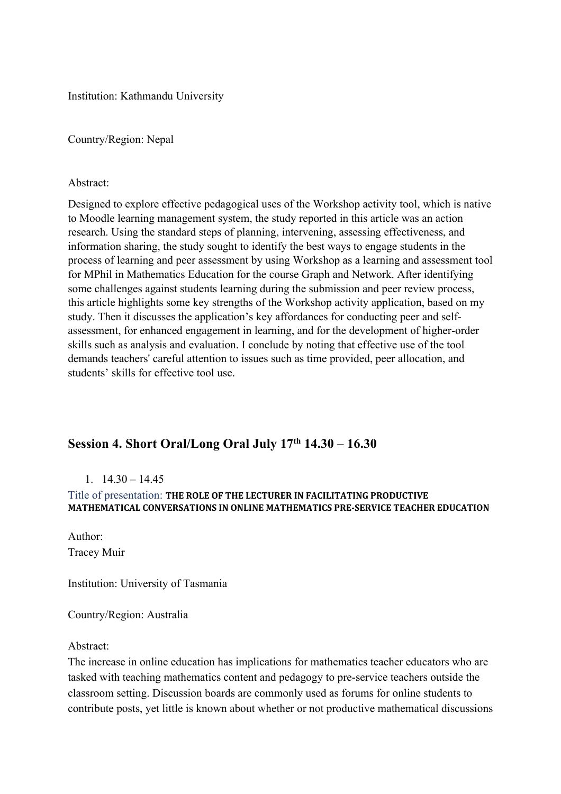Institution: Kathmandu University

Country/Region: Nepal

## Abstract:

Designed to explore effective pedagogical uses of the Workshop activity tool, which is native to Moodle learning management system, the study reported in this article was an action research. Using the standard steps of planning, intervening, assessing effectiveness, and information sharing, the study sought to identify the best ways to engage students in the process of learning and peer assessment by using Workshop as a learning and assessment tool for MPhil in Mathematics Education for the course Graph and Network. After identifying some challenges against students learning during the submission and peer review process, this article highlights some key strengths of the Workshop activity application, based on my study. Then it discusses the application's key affordances for conducting peer and selfassessment, for enhanced engagement in learning, and for the development of higher-order skills such as analysis and evaluation. I conclude by noting that effective use of the tool demands teachers' careful attention to issues such as time provided, peer allocation, and students' skills for effective tool use.

# **Session 4. Short Oral/Long Oral July 17th 14.30 – 16.30**

## $1. \quad 14.30 - 14.45$

# Title of presentation: THE ROLE OF THE LECTURER IN FACILITATING PRODUCTIVE **MATHEMATICAL CONVERSATIONS IN ONLINE MATHEMATICS PRE-SERVICE TEACHER EDUCATION**

Author: Tracey Muir

Institution: University of Tasmania

Country/Region: Australia

#### Abstract:

The increase in online education has implications for mathematics teacher educators who are tasked with teaching mathematics content and pedagogy to pre-service teachers outside the classroom setting. Discussion boards are commonly used as forums for online students to contribute posts, yet little is known about whether or not productive mathematical discussions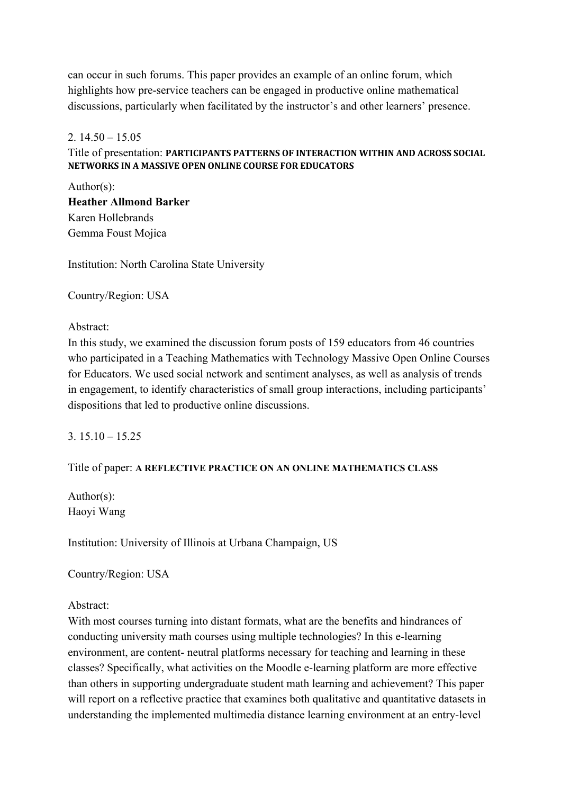can occur in such forums. This paper provides an example of an online forum, which highlights how pre-service teachers can be engaged in productive online mathematical discussions, particularly when facilitated by the instructor's and other learners' presence.

## 2.  $14.50 - 15.05$

## Title of presentation: PARTICIPANTS PATTERNS OF INTERACTION WITHIN AND ACROSS SOCIAL **NETWORKS IN A MASSIVE OPEN ONLINE COURSE FOR EDUCATORS**

Author(s): **Heather Allmond Barker**  Karen Hollebrands Gemma Foust Mojica

Institution: North Carolina State University

Country/Region: USA

Abstract:

In this study, we examined the discussion forum posts of 159 educators from 46 countries who participated in a Teaching Mathematics with Technology Massive Open Online Courses for Educators. We used social network and sentiment analyses, as well as analysis of trends in engagement, to identify characteristics of small group interactions, including participants' dispositions that led to productive online discussions.

 $3.15.10 - 15.25$ 

## Title of paper: **A REFLECTIVE PRACTICE ON AN ONLINE MATHEMATICS CLASS**

Author(s): Haoyi Wang

Institution: University of Illinois at Urbana Champaign, US

Country/Region: USA

Abstract:

With most courses turning into distant formats, what are the benefits and hindrances of conducting university math courses using multiple technologies? In this e-learning environment, are content- neutral platforms necessary for teaching and learning in these classes? Specifically, what activities on the Moodle e-learning platform are more effective than others in supporting undergraduate student math learning and achievement? This paper will report on a reflective practice that examines both qualitative and quantitative datasets in understanding the implemented multimedia distance learning environment at an entry-level